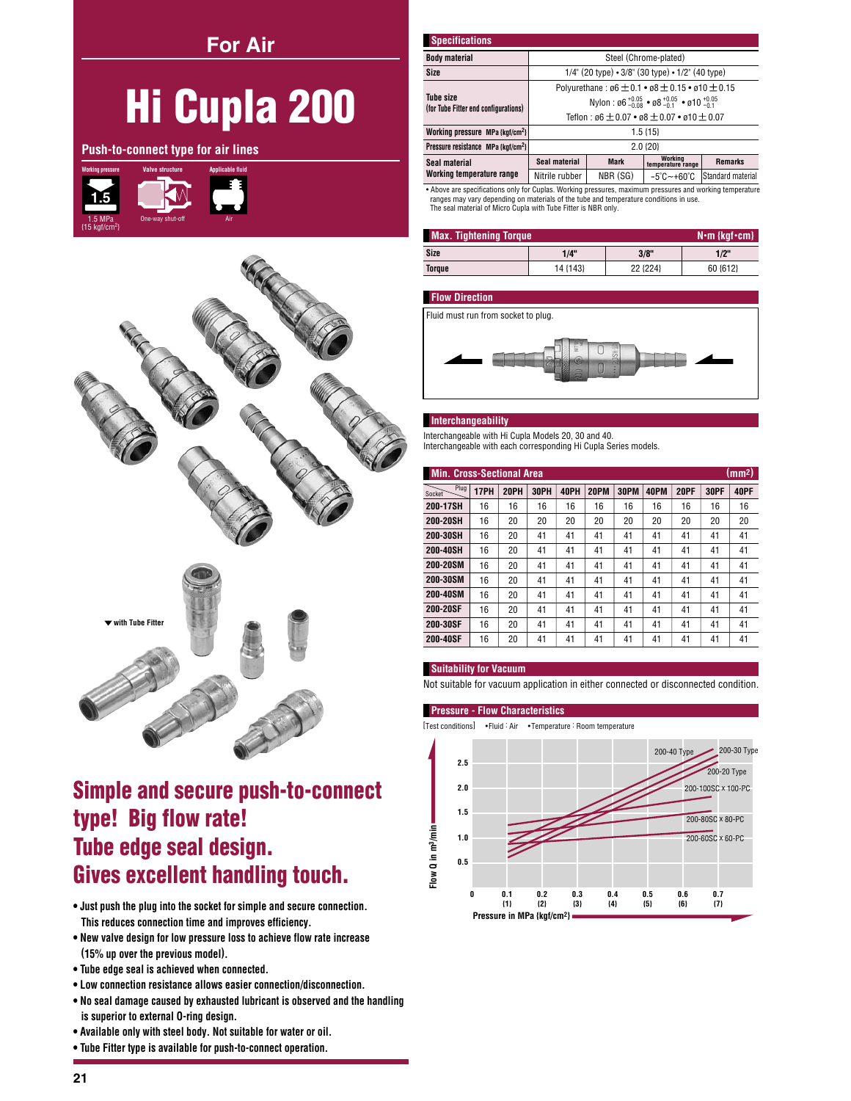**For Air** 

# **Hi Cupla 200**

Push-to-connect type for air lines





## **Simple and secure push-to-connect** type! Big flow rate! Tube edge seal design. **Gives excellent handling touch.**

- . Just push the plug into the socket for simple and secure connection. This reduces connection time and improves efficiency.
- . New valve design for low pressure loss to achieve flow rate increase (15% up over the previous model).
- Tube edge seal is achieved when connected.
- Low connection resistance allows easier connection/disconnection.
- . No seal damage caused by exhausted lubricant is observed and the handling is superior to external O-ring design.
- . Available only with steel body. Not suitable for water or oil.
- . Tube Fitter type is available for push-to-connect operation.

| <b>Specifications</b>                                    |                                                                                                          |             |                                 |                   |  |  |
|----------------------------------------------------------|----------------------------------------------------------------------------------------------------------|-------------|---------------------------------|-------------------|--|--|
| <b>Body material</b>                                     | Steel (Chrome-plated)                                                                                    |             |                                 |                   |  |  |
| Size                                                     | $1/4$ " (20 type) $\cdot$ 3/8" (30 type) $\cdot$ 1/2" (40 type)                                          |             |                                 |                   |  |  |
|                                                          | Polyurethane: $\varnothing6 \pm 0.1 \cdot \varnothing8 \pm 0.15 \cdot \varnothing10 \pm 0.15$            |             |                                 |                   |  |  |
| <b>Tube size</b><br>(for Tube Fitter end configurations) | Nylon: $\emptyset$ 6 <sup>+0.05</sup> • $\emptyset$ 8 <sup>+0.05</sup> • $\emptyset$ 10 <sup>+0.05</sup> |             |                                 |                   |  |  |
|                                                          | Teflon : $a6 + 0.07 \cdot a8 + 0.07 \cdot a10 + 0.07$                                                    |             |                                 |                   |  |  |
| Working pressure MPa {kgf/cm <sup>2</sup> }              | $1.5\{15\}$                                                                                              |             |                                 |                   |  |  |
| Pressure resistance MPa {kgf/cm <sup>2</sup> }           | $2.0$ { $20$ }                                                                                           |             |                                 |                   |  |  |
| Seal material                                            | Seal material                                                                                            | <b>Mark</b> | Working<br>temperature range    | <b>Remarks</b>    |  |  |
| Working temperature range                                | Nitrile rubber                                                                                           | NBR (SG)    | $-5^{\circ}$ C $-+60^{\circ}$ C | Standard material |  |  |

Above are specifications only for Cuplas. Working pressures, maximum pressures and working temperature ranges may vary depending on materials of the tube and temperature conditions in use. The seal material of Micro Cupla with Tube Fitter is NBR only

| <b>Max. Tightening Torque</b><br>$N \cdot m$ {kgf $\cdot$ cm} |          |          |          |  |  |  |  |
|---------------------------------------------------------------|----------|----------|----------|--|--|--|--|
| Size                                                          | 1/4"     | 3/8"     | 1/2"     |  |  |  |  |
| Torque                                                        | 14 {143} | 22 {224} | 60 {612} |  |  |  |  |

## **Flow Direction**

Fluid must run from socket to plug.



#### Interchangeability

Interchangeable with Hi Cupla Models 20, 30 and 40. Interchangeable with each corresponding Hi Cupla Series models.

| (mm <sup>2</sup> )<br>Min. Cross-Sectional Area |      |      |      |      |      |      |      |             |      |      |
|-------------------------------------------------|------|------|------|------|------|------|------|-------------|------|------|
| Plug<br>Socket                                  | 17PH | 20PH | 30PH | 40PH | 20PM | 30PM | 40PM | <b>20PF</b> | 30PF | 40PF |
| 200-17SH                                        | 16   | 16   | 16   | 16   | 16   | 16   | 16   | 16          | 16   | 16   |
| 200-20SH                                        | 16   | 20   | 20   | 20   | 20   | 20   | 20   | 20          | 20   | 20   |
| 200-30SH                                        | 16   | 20   | 41   | 41   | 41   | 41   | 41   | 41          | 41   | 41   |
| 200-40SH                                        | 16   | 20   | 41   | 41   | 41   | 41   | 41   | 41          | 41   | 41   |
| 200-20SM                                        | 16   | 20   | 41   | 41   | 41   | 41   | 41   | 41          | 41   | 41   |
| 200-30SM                                        | 16   | 20   | 41   | 41   | 41   | 41   | 41   | 41          | 41   | 41   |
| 200-40SM                                        | 16   | 20   | 41   | 41   | 41   | 41   | 41   | 41          | 41   | 41   |
| 200-20SF                                        | 16   | 20   | 41   | 41   | 41   | 41   | 41   | 41          | 41   | 41   |
| 200-30SF                                        | 16   | 20   | 41   | 41   | 41   | 41   | 41   | 41          | 41   | 41   |
| 200-40SF                                        | 16   | 20   | 41   | 41   | 41   | 41   | 41   | 41          | 41   | 41   |

#### **Suitability for Vacuum**

Not suitable for vacuum application in either connected or disconnected condition.

#### **Pressure - Flow Characteristics**